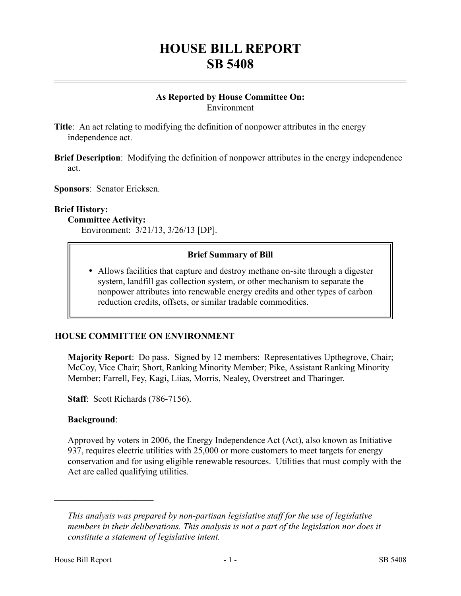# **HOUSE BILL REPORT SB 5408**

#### **As Reported by House Committee On:** Environment

**Title**: An act relating to modifying the definition of nonpower attributes in the energy independence act.

**Brief Description**: Modifying the definition of nonpower attributes in the energy independence act.

**Sponsors**: Senator Ericksen.

#### **Brief History:**

#### **Committee Activity:**

Environment: 3/21/13, 3/26/13 [DP].

#### **Brief Summary of Bill**

 Allows facilities that capture and destroy methane on-site through a digester system, landfill gas collection system, or other mechanism to separate the nonpower attributes into renewable energy credits and other types of carbon reduction credits, offsets, or similar tradable commodities.

#### **HOUSE COMMITTEE ON ENVIRONMENT**

**Majority Report**: Do pass. Signed by 12 members: Representatives Upthegrove, Chair; McCoy, Vice Chair; Short, Ranking Minority Member; Pike, Assistant Ranking Minority Member; Farrell, Fey, Kagi, Liias, Morris, Nealey, Overstreet and Tharinger.

**Staff**: Scott Richards (786-7156).

#### **Background**:

––––––––––––––––––––––

Approved by voters in 2006, the Energy Independence Act (Act), also known as Initiative 937, requires electric utilities with 25,000 or more customers to meet targets for energy conservation and for using eligible renewable resources. Utilities that must comply with the Act are called qualifying utilities.

*This analysis was prepared by non-partisan legislative staff for the use of legislative members in their deliberations. This analysis is not a part of the legislation nor does it constitute a statement of legislative intent.*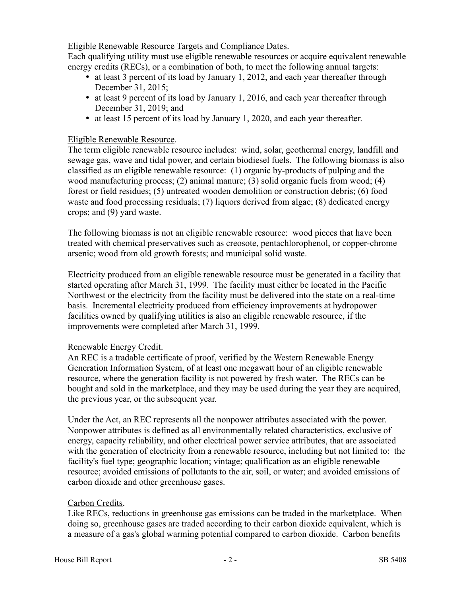Eligible Renewable Resource Targets and Compliance Dates.

Each qualifying utility must use eligible renewable resources or acquire equivalent renewable energy credits (RECs), or a combination of both, to meet the following annual targets:

- at least 3 percent of its load by January 1, 2012, and each year thereafter through December 31, 2015;
- at least 9 percent of its load by January 1, 2016, and each year thereafter through December 31, 2019; and
- at least 15 percent of its load by January 1, 2020, and each year thereafter.

# Eligible Renewable Resource.

The term eligible renewable resource includes: wind, solar, geothermal energy, landfill and sewage gas, wave and tidal power, and certain biodiesel fuels. The following biomass is also classified as an eligible renewable resource: (1) organic by-products of pulping and the wood manufacturing process; (2) animal manure; (3) solid organic fuels from wood; (4) forest or field residues; (5) untreated wooden demolition or construction debris; (6) food waste and food processing residuals; (7) liquors derived from algae; (8) dedicated energy crops; and (9) yard waste.

The following biomass is not an eligible renewable resource: wood pieces that have been treated with chemical preservatives such as creosote, pentachlorophenol, or copper-chrome arsenic; wood from old growth forests; and municipal solid waste.

Electricity produced from an eligible renewable resource must be generated in a facility that started operating after March 31, 1999. The facility must either be located in the Pacific Northwest or the electricity from the facility must be delivered into the state on a real-time basis. Incremental electricity produced from efficiency improvements at hydropower facilities owned by qualifying utilities is also an eligible renewable resource, if the improvements were completed after March 31, 1999.

# Renewable Energy Credit.

An REC is a tradable certificate of proof, verified by the Western Renewable Energy Generation Information System, of at least one megawatt hour of an eligible renewable resource, where the generation facility is not powered by fresh water. The RECs can be bought and sold in the marketplace, and they may be used during the year they are acquired, the previous year, or the subsequent year.

Under the Act, an REC represents all the nonpower attributes associated with the power. Nonpower attributes is defined as all environmentally related characteristics, exclusive of energy, capacity reliability, and other electrical power service attributes, that are associated with the generation of electricity from a renewable resource, including but not limited to: the facility's fuel type; geographic location; vintage; qualification as an eligible renewable resource; avoided emissions of pollutants to the air, soil, or water; and avoided emissions of carbon dioxide and other greenhouse gases.

# Carbon Credits.

Like RECs, reductions in greenhouse gas emissions can be traded in the marketplace. When doing so, greenhouse gases are traded according to their carbon dioxide equivalent, which is a measure of a gas's global warming potential compared to carbon dioxide. Carbon benefits